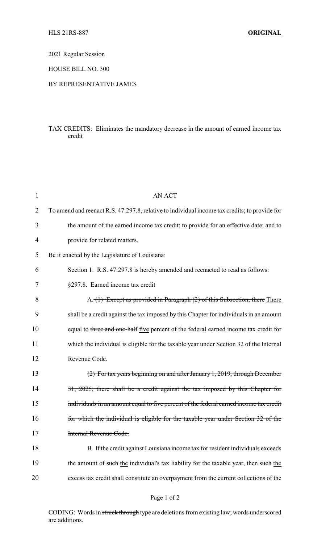## 2021 Regular Session

HOUSE BILL NO. 300

## BY REPRESENTATIVE JAMES

## TAX CREDITS: Eliminates the mandatory decrease in the amount of earned income tax credit

| $\mathbf{1}$ | <b>AN ACT</b>                                                                                 |
|--------------|-----------------------------------------------------------------------------------------------|
| 2            | To amend and reenact R.S. 47:297.8, relative to individual income tax credits; to provide for |
| 3            | the amount of the earned income tax credit; to provide for an effective date; and to          |
| 4            | provide for related matters.                                                                  |
| 5            | Be it enacted by the Legislature of Louisiana:                                                |
| 6            | Section 1. R.S. 47:297.8 is hereby amended and reenacted to read as follows:                  |
| 7            | §297.8. Earned income tax credit                                                              |
| 8            | A. (1) Except as provided in Paragraph (2) of this Subsection, there There                    |
| 9            | shall be a credit against the tax imposed by this Chapter for individuals in an amount        |
| 10           | equal to three and one-half five percent of the federal earned income tax credit for          |
| 11           | which the individual is eligible for the taxable year under Section 32 of the Internal        |
| 12           | Revenue Code.                                                                                 |
| 13           | (2) For tax years beginning on and after January 1, 2019, through December                    |
| 14           | 31, 2025, there shall be a credit against the tax imposed by this Chapter for                 |
| 15           | individuals in an amount equal to five percent of the federal earned income tax credit        |
| 16           | for which the individual is eligible for the taxable year under Section 32 of the             |
| 17           | Internal Revenue Code.                                                                        |
| 18           | B. If the credit against Louisiana income tax for resident individuals exceeds                |
| 19           | the amount of such the individual's tax liability for the taxable year, then such the         |
| 20           | excess tax credit shall constitute an overpayment from the current collections of the         |

CODING: Words in struck through type are deletions from existing law; words underscored are additions.